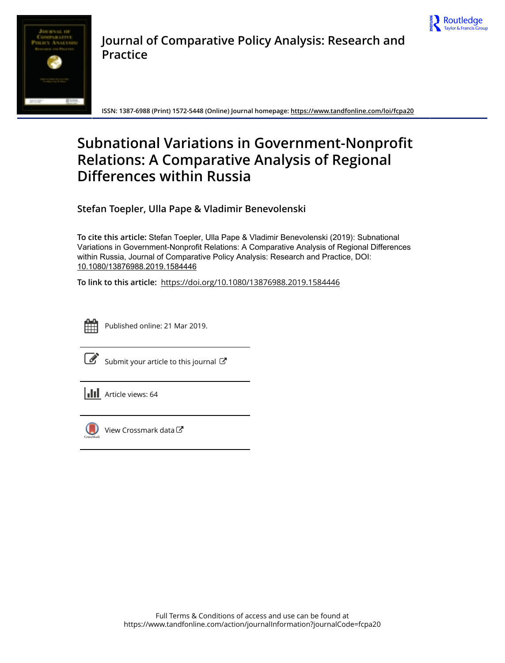



**Journal of Comparative Policy Analysis: Research and Practice**

**ISSN: 1387-6988 (Print) 1572-5448 (Online) Journal homepage:<https://www.tandfonline.com/loi/fcpa20>**

# **Subnational Variations in Government-Nonprofit Relations: A Comparative Analysis of Regional Differences within Russia**

**Stefan Toepler, Ulla Pape & Vladimir Benevolenski**

**To cite this article:** Stefan Toepler, Ulla Pape & Vladimir Benevolenski (2019): Subnational Variations in Government-Nonprofit Relations: A Comparative Analysis of Regional Differences within Russia, Journal of Comparative Policy Analysis: Research and Practice, DOI: [10.1080/13876988.2019.1584446](https://www.tandfonline.com/action/showCitFormats?doi=10.1080/13876988.2019.1584446)

**To link to this article:** <https://doi.org/10.1080/13876988.2019.1584446>



Published online: 21 Mar 2019.

[Submit your article to this journal](https://www.tandfonline.com/action/authorSubmission?journalCode=fcpa20&show=instructions)  $\mathbb{Z}$ 

 $\left\| \cdot \right\|$  Article views: 64



[View Crossmark data](http://crossmark.crossref.org/dialog/?doi=10.1080/13876988.2019.1584446&domain=pdf&date_stamp=2019-03-21)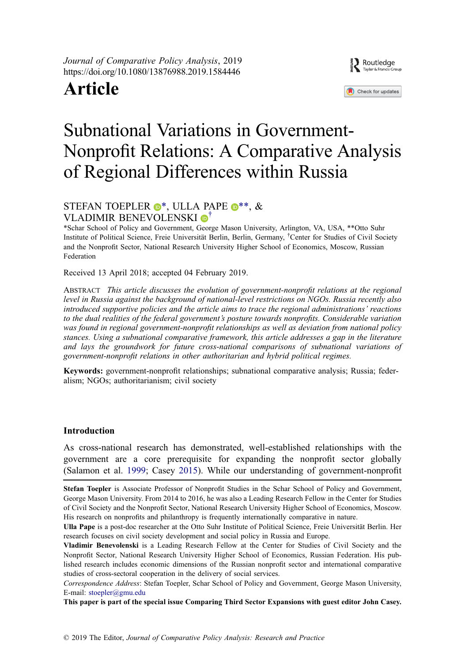Journal of Comparative Policy Analysis, 2019 https://doi.org/10.1080/13876988.2019.1584446

# Article



# Subnational Variations in Government-Nonprofit Relations: A Comparative Analysis of Regional Differences within Russia

# STEFAN TOEPLER  $\bullet^*$ , ULLA PAPE  $\bullet^{**}$ , & VLADIMIR BENEVOLENSKI D<sup>[†](http://orcid.org/0000-0003-1738-9844)</sup>

<span id="page-1-0"></span>\*Schar School of Policy and Government, George Mason University, Arlington, VA, USA, \*\*Otto Suhr Institute of Political Science, Freie Universität Berlin, Berlin, Germany, † Center for Studies of Civil Society and the Nonprofit Sector, National Research University Higher School of Economics, Moscow, Russian Federation

Received 13 April 2018; accepted 04 February 2019.

ABSTRACT This article discusses the evolution of government-nonprofit relations at the regional level in Russia against the background of national-level restrictions on NGOs. Russia recently also introduced supportive policies and the article aims to trace the regional administrations' reactions to the dual realities of the federal government's posture towards nonprofits. Considerable variation was found in regional government-nonprofit relationships as well as deviation from national policy stances. Using a subnational comparative framework, this article addresses a gap in the literature and lays the groundwork for future cross-national comparisons of subnational variations of government-nonprofit relations in other authoritarian and hybrid political regimes.

Keywords: government-nonprofit relationships; subnational comparative analysis; Russia; federalism; NGOs; authoritarianism; civil society

## Introduction

<span id="page-1-1"></span>As cross-national research has demonstrated, well-established relationships with the government are a core prerequisite for expanding the nonprofit sector globally (Salamon et al. [1999;](#page-17-0) Casey [2015\)](#page-17-1). While our understanding of government-nonprofit

Stefan Toepler is Associate Professor of Nonprofit Studies in the Schar School of Policy and Government, George Mason University. From 2014 to 2016, he was also a Leading Research Fellow in the Center for Studies of Civil Society and the Nonprofit Sector, National Research University Higher School of Economics, Moscow. His research on nonprofits and philanthropy is frequently internationally comparative in nature.

Vladimir Benevolenski is a Leading Research Fellow at the Center for Studies of Civil Society and the Nonprofit Sector, National Research University Higher School of Economics, Russian Federation. His published research includes economic dimensions of the Russian nonprofit sector and international comparative studies of cross-sectoral cooperation in the delivery of social services.

Correspondence Address: Stefan Toepler, Schar School of Policy and Government, George Mason University, E-mail: stoepler@gmu.edu

This paper is part of the special issue Comparing Third Sector Expansions with guest editor John Casey.

Ulla Pape is a post-doc researcher at the Otto Suhr Institute of Political Science, Freie Universität Berlin. Her research focuses on civil society development and social policy in Russia and Europe.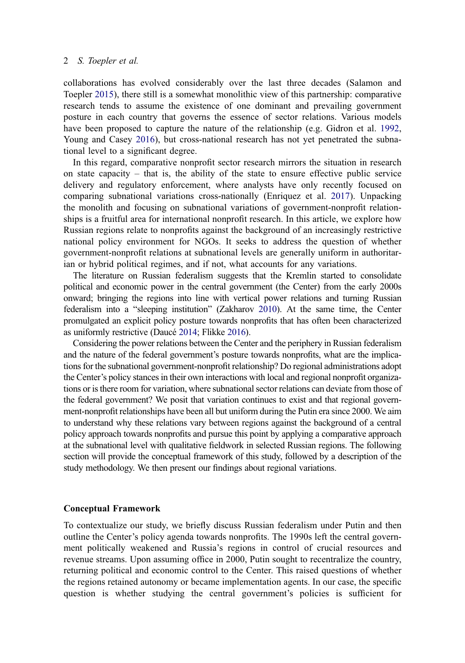<span id="page-2-3"></span>collaborations has evolved considerably over the last three decades (Salamon and Toepler [2015\)](#page-18-0), there still is a somewhat monolithic view of this partnership: comparative research tends to assume the existence of one dominant and prevailing government posture in each country that governs the essence of sector relations. Various models have been proposed to capture the nature of the relationship (e.g. Gidron et al. [1992,](#page-17-2) Young and Casey [2016](#page-18-1)), but cross-national research has not yet penetrated the subnational level to a significant degree.

<span id="page-2-4"></span><span id="page-2-2"></span><span id="page-2-1"></span>In this regard, comparative nonprofit sector research mirrors the situation in research on state capacity  $-$  that is, the ability of the state to ensure effective public service delivery and regulatory enforcement, where analysts have only recently focused on comparing subnational variations cross-nationally (Enriquez et al. [2017](#page-17-3)). Unpacking the monolith and focusing on subnational variations of government-nonprofit relationships is a fruitful area for international nonprofit research. In this article, we explore how Russian regions relate to nonprofits against the background of an increasingly restrictive national policy environment for NGOs. It seeks to address the question of whether government-nonprofit relations at subnational levels are generally uniform in authoritarian or hybrid political regimes, and if not, what accounts for any variations.

<span id="page-2-5"></span>The literature on Russian federalism suggests that the Kremlin started to consolidate political and economic power in the central government (the Center) from the early 2000s onward; bringing the regions into line with vertical power relations and turning Russian federalism into a "sleeping institution" (Zakharov [2010\)](#page-18-2). At the same time, the Center promulgated an explicit policy posture towards nonprofits that has often been characterized as uniformly restrictive (Daucé [2014](#page-17-4); Flikke [2016\)](#page-17-5).

<span id="page-2-0"></span>Considering the power relations between the Center and the periphery in Russian federalism and the nature of the federal government's posture towards nonprofits, what are the implications for the subnational government-nonprofit relationship? Do regional administrations adopt the Center's policy stances in their own interactions with local and regional nonprofit organizations or is there room for variation, where subnational sector relations can deviate from those of the federal government? We posit that variation continues to exist and that regional government-nonprofit relationships have been all but uniform during the Putin era since 2000. We aim to understand why these relations vary between regions against the background of a central policy approach towards nonprofits and pursue this point by applying a comparative approach at the subnational level with qualitative fieldwork in selected Russian regions. The following section will provide the conceptual framework of this study, followed by a description of the study methodology. We then present our findings about regional variations.

## Conceptual Framework

To contextualize our study, we briefly discuss Russian federalism under Putin and then outline the Center's policy agenda towards nonprofits. The 1990s left the central government politically weakened and Russia's regions in control of crucial resources and revenue streams. Upon assuming office in 2000, Putin sought to recentralize the country, returning political and economic control to the Center. This raised questions of whether the regions retained autonomy or became implementation agents. In our case, the specific question is whether studying the central government's policies is sufficient for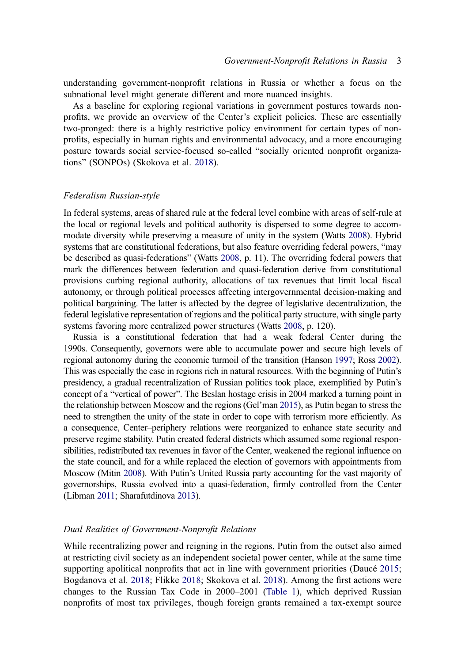understanding government-nonprofit relations in Russia or whether a focus on the subnational level might generate different and more nuanced insights.

As a baseline for exploring regional variations in government postures towards nonprofits, we provide an overview of the Center's explicit policies. These are essentially two-pronged: there is a highly restrictive policy environment for certain types of nonprofits, especially in human rights and environmental advocacy, and a more encouraging posture towards social service-focused so-called "socially oriented nonprofit organizations" (SONPOs) (Skokova et al. [2018](#page-18-3)).

#### Federalism Russian-style

In federal systems, areas of shared rule at the federal level combine with areas of self-rule at the local or regional levels and political authority is dispersed to some degree to accommodate diversity while preserving a measure of unity in the system (Watts [2008](#page-18-4)). Hybrid systems that are constitutional federations, but also feature overriding federal powers, "may be described as quasi-federations" (Watts [2008,](#page-18-4) p. 11). The overriding federal powers that mark the differences between federation and quasi-federation derive from constitutional provisions curbing regional authority, allocations of tax revenues that limit local fiscal autonomy, or through political processes affecting intergovernmental decision-making and political bargaining. The latter is affected by the degree of legislative decentralization, the federal legislative representation of regions and the political party structure, with single party systems favoring more centralized power structures (Watts [2008,](#page-18-4) p. 120).

<span id="page-3-6"></span><span id="page-3-3"></span><span id="page-3-2"></span>Russia is a constitutional federation that had a weak federal Center during the 1990s. Consequently, governors were able to accumulate power and secure high levels of regional autonomy during the economic turmoil of the transition (Hanson [1997](#page-17-6); Ross [2002](#page-17-7)). This was especially the case in regions rich in natural resources. With the beginning of Putin's presidency, a gradual recentralization of Russian politics took place, exemplified by Putin's concept of a "vertical of power". The Beslan hostage crisis in 2004 marked a turning point in the relationship between Moscow and the regions (Gel'man [2015](#page-17-8)), as Putin began to stress the need to strengthen the unity of the state in order to cope with terrorism more efficiently. As a consequence, Center-periphery relations were reorganized to enhance state security and preserve regime stability. Putin created federal districts which assumed some regional responsibilities, redistributed tax revenues in favor of the Center, weakened the regional influence on the state council, and for a while replaced the election of governors with appointments from Moscow (Mitin [2008](#page-17-9)). With Putin's United Russia party accounting for the vast majority of governorships, Russia evolved into a quasi-federation, firmly controlled from the Center (Libman [2011](#page-17-10); Sharafutdinova [2013\)](#page-18-5).

### <span id="page-3-5"></span><span id="page-3-4"></span>Dual Realities of Government-Nonprofit Relations

<span id="page-3-1"></span><span id="page-3-0"></span>While recentralizing power and reigning in the regions, Putin from the outset also aimed at restricting civil society as an independent societal power center, while at the same time supporting apolitical nonprofits that act in line with government priorities (Daucé [2015](#page-17-11); Bogdanova et al. [2018;](#page-17-12) Flikke [2018](#page-17-13); Skokova et al. [2018\)](#page-18-3). Among the first actions were changes to the Russian Tax Code in 2000–2001 ([Table 1\)](#page-4-0), which deprived Russian nonprofits of most tax privileges, though foreign grants remained a tax-exempt source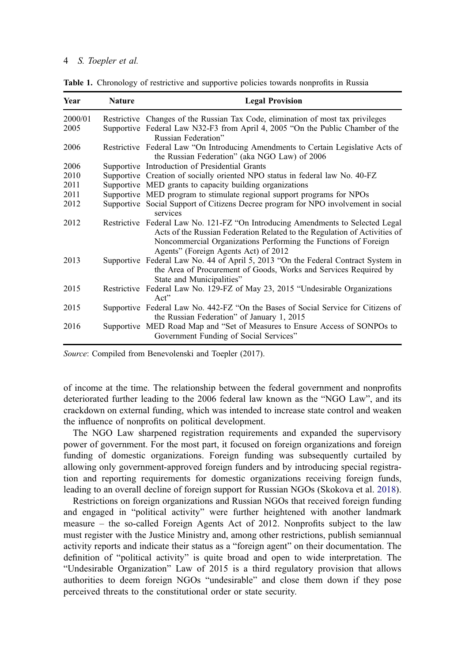| Year    | <b>Nature</b> | <b>Legal Provision</b>                                                                                                                                                                                                                                                  |  |  |  |  |
|---------|---------------|-------------------------------------------------------------------------------------------------------------------------------------------------------------------------------------------------------------------------------------------------------------------------|--|--|--|--|
| 2000/01 |               | Restrictive Changes of the Russian Tax Code, elimination of most tax privileges                                                                                                                                                                                         |  |  |  |  |
| 2005    |               | Supportive Federal Law N32-F3 from April 4, 2005 "On the Public Chamber of the<br>Russian Federation"                                                                                                                                                                   |  |  |  |  |
| 2006    |               | Restrictive Federal Law "On Introducing Amendments to Certain Legislative Acts of<br>the Russian Federation" (aka NGO Law) of 2006                                                                                                                                      |  |  |  |  |
| 2006    |               | Supportive Introduction of Presidential Grants                                                                                                                                                                                                                          |  |  |  |  |
| 2010    |               | Supportive Creation of socially oriented NPO status in federal law No. 40-FZ                                                                                                                                                                                            |  |  |  |  |
| 2011    |               | Supportive MED grants to capacity building organizations                                                                                                                                                                                                                |  |  |  |  |
| 2011    |               | Supportive MED program to stimulate regional support programs for NPOs                                                                                                                                                                                                  |  |  |  |  |
| 2012    |               | Supportive Social Support of Citizens Decree program for NPO involvement in social<br>services                                                                                                                                                                          |  |  |  |  |
| 2012    |               | Restrictive Federal Law No. 121-FZ "On Introducing Amendments to Selected Legal<br>Acts of the Russian Federation Related to the Regulation of Activities of<br>Noncommercial Organizations Performing the Functions of Foreign<br>Agents" (Foreign Agents Act) of 2012 |  |  |  |  |
| 2013    |               | Supportive Federal Law No. 44 of April 5, 2013 "On the Federal Contract System in<br>the Area of Procurement of Goods, Works and Services Required by<br>State and Municipalities"                                                                                      |  |  |  |  |
| 2015    |               | Restrictive Federal Law No. 129-FZ of May 23, 2015 "Undesirable Organizations"<br>Act"                                                                                                                                                                                  |  |  |  |  |
| 2015    |               | Supportive Federal Law No. 442-FZ "On the Bases of Social Service for Citizens of<br>the Russian Federation" of January 1, 2015                                                                                                                                         |  |  |  |  |
| 2016    |               | Supportive MED Road Map and "Set of Measures to Ensure Access of SONPOs to<br>Government Funding of Social Services"                                                                                                                                                    |  |  |  |  |

<span id="page-4-0"></span>Table 1. Chronology of restrictive and supportive policies towards nonprofits in Russia

Source: Compiled from Benevolenski and Toepler (2017).

of income at the time. The relationship between the federal government and nonprofits deteriorated further leading to the 2006 federal law known as the "NGO Law", and its crackdown on external funding, which was intended to increase state control and weaken the influence of nonprofits on political development.

The NGO Law sharpened registration requirements and expanded the supervisory power of government. For the most part, it focused on foreign organizations and foreign funding of domestic organizations. Foreign funding was subsequently curtailed by allowing only government-approved foreign funders and by introducing special registration and reporting requirements for domestic organizations receiving foreign funds, leading to an overall decline of foreign support for Russian NGOs (Skokova et al. [2018](#page-18-3)).

Restrictions on foreign organizations and Russian NGOs that received foreign funding and engaged in "political activity" were further heightened with another landmark measure – the so-called Foreign Agents Act of 2012. Nonprofits subject to the law must register with the Justice Ministry and, among other restrictions, publish semiannual activity reports and indicate their status as a "foreign agent" on their documentation. The definition of "political activity" is quite broad and open to wide interpretation. The "Undesirable Organization" Law of 2015 is a third regulatory provision that allows authorities to deem foreign NGOs "undesirable" and close them down if they pose perceived threats to the constitutional order or state security.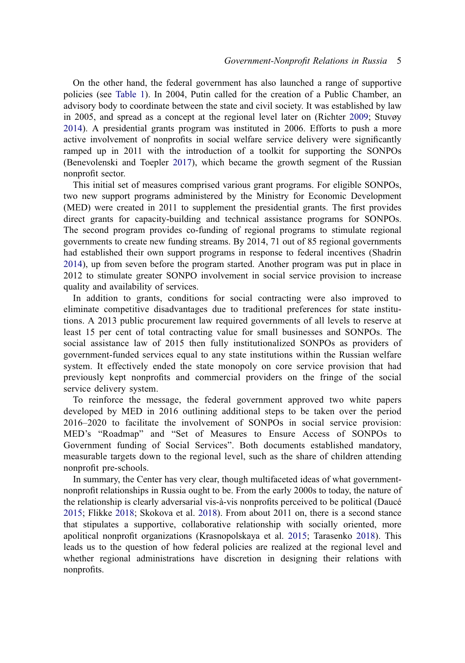<span id="page-5-2"></span>On the other hand, the federal government has also launched a range of supportive policies (see [Table 1\)](#page-4-0). In 2004, Putin called for the creation of a Public Chamber, an advisory body to coordinate between the state and civil society. It was established by law in 2005, and spread as a concept at the regional level later on (Richter [2009;](#page-17-14) Stuvøy [2014](#page-18-6)). A presidential grants program was instituted in 2006. Efforts to push a more active involvement of nonprofits in social welfare service delivery were significantly ramped up in 2011 with the introduction of a toolkit for supporting the SONPOs (Benevolenski and Toepler [2017\)](#page-17-15), which became the growth segment of the Russian nonprofit sector.

<span id="page-5-0"></span>This initial set of measures comprised various grant programs. For eligible SONPOs, two new support programs administered by the Ministry for Economic Development (MED) were created in 2011 to supplement the presidential grants. The first provides direct grants for capacity-building and technical assistance programs for SONPOs. The second program provides co-funding of regional programs to stimulate regional governments to create new funding streams. By 2014, 71 out of 85 regional governments had established their own support programs in response to federal incentives (Shadrin [2014](#page-18-7)), up from seven before the program started. Another program was put in place in 2012 to stimulate greater SONPO involvement in social service provision to increase quality and availability of services.

<span id="page-5-3"></span>In addition to grants, conditions for social contracting were also improved to eliminate competitive disadvantages due to traditional preferences for state institutions. A 2013 public procurement law required governments of all levels to reserve at least 15 per cent of total contracting value for small businesses and SONPOs. The social assistance law of 2015 then fully institutionalized SONPOs as providers of government-funded services equal to any state institutions within the Russian welfare system. It effectively ended the state monopoly on core service provision that had previously kept nonprofits and commercial providers on the fringe of the social service delivery system.

To reinforce the message, the federal government approved two white papers developed by MED in 2016 outlining additional steps to be taken over the period 2016–2020 to facilitate the involvement of SONPOs in social service provision: MED's "Roadmap" and "Set of Measures to Ensure Access of SONPOs to Government funding of Social Services". Both documents established mandatory, measurable targets down to the regional level, such as the share of children attending nonprofit pre-schools.

<span id="page-5-1"></span>In summary, the Center has very clear, though multifaceted ideas of what governmentnonprofit relationships in Russia ought to be. From the early 2000s to today, the nature of the relationship is clearly adversarial vis-à-vis nonprofits perceived to be political (Daucé [2015](#page-17-11); Flikke [2018](#page-17-13); Skokova et al. [2018](#page-18-3)). From about 2011 on, there is a second stance that stipulates a supportive, collaborative relationship with socially oriented, more apolitical nonprofit organizations (Krasnopolskaya et al. [2015;](#page-17-16) Tarasenko [2018](#page-18-8)). This leads us to the question of how federal policies are realized at the regional level and whether regional administrations have discretion in designing their relations with nonprofits.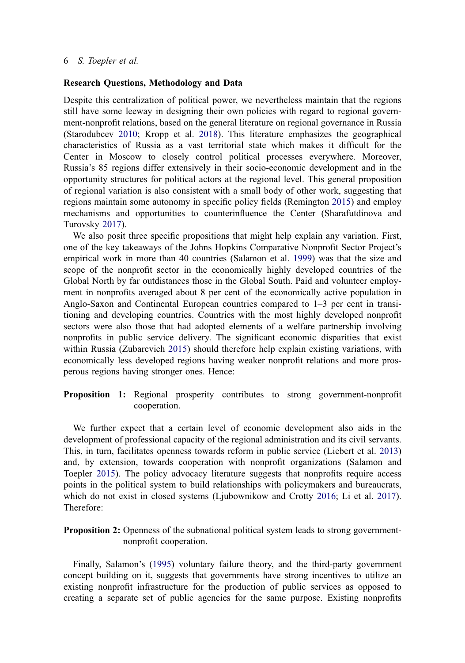### Research Questions, Methodology and Data

<span id="page-6-0"></span>Despite this centralization of political power, we nevertheless maintain that the regions still have some leeway in designing their own policies with regard to regional government-nonprofit relations, based on the general literature on regional governance in Russia (Starodubcev [2010;](#page-18-9) Kropp et al. [2018](#page-17-17)). This literature emphasizes the geographical characteristics of Russia as a vast territorial state which makes it difficult for the Center in Moscow to closely control political processes everywhere. Moreover, Russia's 85 regions differ extensively in their socio-economic development and in the opportunity structures for political actors at the regional level. This general proposition of regional variation is also consistent with a small body of other work, suggesting that regions maintain some autonomy in specific policy fields (Remington [2015](#page-17-18)) and employ mechanisms and opportunities to counterinfluence the Center (Sharafutdinova and Turovsky [2017\)](#page-18-10).

<span id="page-6-5"></span><span id="page-6-3"></span>We also posit three specific propositions that might help explain any variation. First, one of the key takeaways of the Johns Hopkins Comparative Nonprofit Sector Project's empirical work in more than 40 countries (Salamon et al. [1999](#page-17-0)) was that the size and scope of the nonprofit sector in the economically highly developed countries of the Global North by far outdistances those in the Global South. Paid and volunteer employment in nonprofits averaged about 8 per cent of the economically active population in Anglo-Saxon and Continental European countries compared to  $1-3$  per cent in transitioning and developing countries. Countries with the most highly developed nonprofit sectors were also those that had adopted elements of a welfare partnership involving nonprofits in public service delivery. The significant economic disparities that exist within Russia (Zubarevich [2015\)](#page-18-11) should therefore help explain existing variations, with economically less developed regions having weaker nonprofit relations and more prosperous regions having stronger ones. Hence:

## <span id="page-6-6"></span>Proposition 1: Regional prosperity contributes to strong government-nonprofit cooperation.

<span id="page-6-2"></span>We further expect that a certain level of economic development also aids in the development of professional capacity of the regional administration and its civil servants. This, in turn, facilitates openness towards reform in public service (Liebert et al. [2013\)](#page-17-19) and, by extension, towards cooperation with nonprofit organizations (Salamon and Toepler [2015](#page-18-0)). The policy advocacy literature suggests that nonprofits require access points in the political system to build relationships with policymakers and bureaucrats, which do not exist in closed systems (Ljubownikow and Crotty [2016](#page-17-20); Li et al. [2017](#page-17-21)). Therefore:

<span id="page-6-1"></span>**Proposition 2:** Openness of the subnational political system leads to strong governmentnonprofit cooperation.

<span id="page-6-4"></span>Finally, Salamon's ([1995\)](#page-17-22) voluntary failure theory, and the third-party government concept building on it, suggests that governments have strong incentives to utilize an existing nonprofit infrastructure for the production of public services as opposed to creating a separate set of public agencies for the same purpose. Existing nonprofits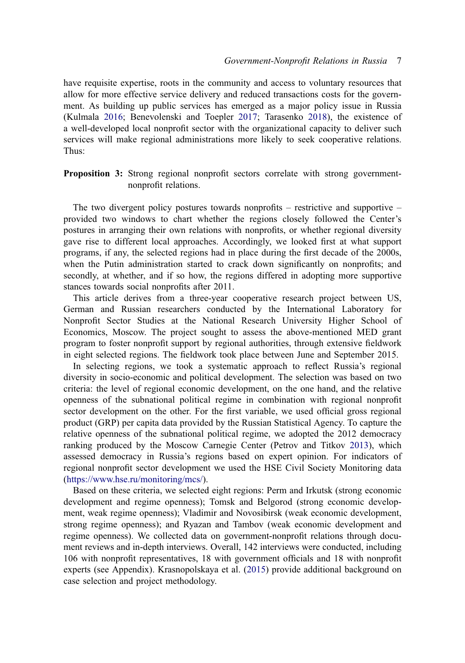<span id="page-7-0"></span>have requisite expertise, roots in the community and access to voluntary resources that allow for more effective service delivery and reduced transactions costs for the government. As building up public services has emerged as a major policy issue in Russia (Kulmala [2016](#page-17-23); Benevolenski and Toepler [2017](#page-17-15); Tarasenko [2018](#page-18-8)), the existence of a well-developed local nonprofit sector with the organizational capacity to deliver such services will make regional administrations more likely to seek cooperative relations. Thus:

Proposition 3: Strong regional nonprofit sectors correlate with strong governmentnonprofit relations.

The two divergent policy postures towards nonprofits – restrictive and supportive – provided two windows to chart whether the regions closely followed the Center's postures in arranging their own relations with nonprofits, or whether regional diversity gave rise to different local approaches. Accordingly, we looked first at what support programs, if any, the selected regions had in place during the first decade of the 2000s, when the Putin administration started to crack down significantly on nonprofits; and secondly, at whether, and if so how, the regions differed in adopting more supportive stances towards social nonprofits after 2011.

This article derives from a three-year cooperative research project between US, German and Russian researchers conducted by the International Laboratory for Nonprofit Sector Studies at the National Research University Higher School of Economics, Moscow. The project sought to assess the above-mentioned MED grant program to foster nonprofit support by regional authorities, through extensive fieldwork in eight selected regions. The fieldwork took place between June and September 2015.

In selecting regions, we took a systematic approach to reflect Russia's regional diversity in socio-economic and political development. The selection was based on two criteria: the level of regional economic development, on the one hand, and the relative openness of the subnational political regime in combination with regional nonprofit sector development on the other. For the first variable, we used official gross regional product (GRP) per capita data provided by the Russian Statistical Agency. To capture the relative openness of the subnational political regime, we adopted the 2012 democracy ranking produced by the Moscow Carnegie Center (Petrov and Titkov [2013](#page-17-24)), which assessed democracy in Russia's regions based on expert opinion. For indicators of regional nonprofit sector development we used the HSE Civil Society Monitoring data (<https://www.hse.ru/monitoring/mcs/>).

<span id="page-7-1"></span>Based on these criteria, we selected eight regions: Perm and Irkutsk (strong economic development and regime openness); Tomsk and Belgorod (strong economic development, weak regime openness); Vladimir and Novosibirsk (weak economic development, strong regime openness); and Ryazan and Tambov (weak economic development and regime openness). We collected data on government-nonprofit relations through document reviews and in-depth interviews. Overall, 142 interviews were conducted, including 106 with nonprofit representatives, 18 with government officials and 18 with nonprofit experts (see Appendix). Krasnopolskaya et al. ([2015\)](#page-17-16) provide additional background on case selection and project methodology.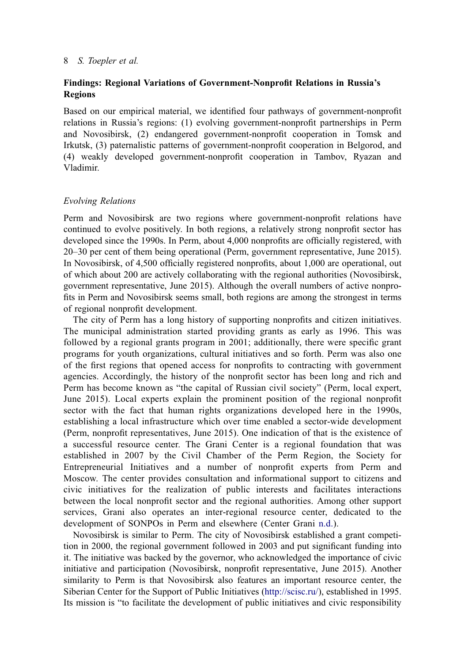## Findings: Regional Variations of Government-Nonprofit Relations in Russia's Regions

Based on our empirical material, we identified four pathways of government-nonprofit relations in Russia's regions: (1) evolving government-nonprofit partnerships in Perm and Novosibirsk, (2) endangered government-nonprofit cooperation in Tomsk and Irkutsk, (3) paternalistic patterns of government-nonprofit cooperation in Belgorod, and (4) weakly developed government-nonprofit cooperation in Tambov, Ryazan and Vladimir.

## Evolving Relations

Perm and Novosibirsk are two regions where government-nonprofit relations have continued to evolve positively. In both regions, a relatively strong nonprofit sector has developed since the 1990s. In Perm, about 4,000 nonprofits are officially registered, with 20‒30 per cent of them being operational (Perm, government representative, June 2015). In Novosibirsk, of 4,500 officially registered nonprofits, about 1,000 are operational, out of which about 200 are actively collaborating with the regional authorities (Novosibirsk, government representative, June 2015). Although the overall numbers of active nonprofits in Perm and Novosibirsk seems small, both regions are among the strongest in terms of regional nonprofit development.

The city of Perm has a long history of supporting nonprofits and citizen initiatives. The municipal administration started providing grants as early as 1996. This was followed by a regional grants program in 2001; additionally, there were specific grant programs for youth organizations, cultural initiatives and so forth. Perm was also one of the first regions that opened access for nonprofits to contracting with government agencies. Accordingly, the history of the nonprofit sector has been long and rich and Perm has become known as "the capital of Russian civil society" (Perm, local expert, June 2015). Local experts explain the prominent position of the regional nonprofit sector with the fact that human rights organizations developed here in the 1990s, establishing a local infrastructure which over time enabled a sector-wide development (Perm, nonprofit representatives, June 2015). One indication of that is the existence of a successful resource center. The Grani Center is a regional foundation that was established in 2007 by the Civil Chamber of the Perm Region, the Society for Entrepreneurial Initiatives and a number of nonprofit experts from Perm and Moscow. The center provides consultation and informational support to citizens and civic initiatives for the realization of public interests and facilitates interactions between the local nonprofit sector and the regional authorities. Among other support services, Grani also operates an inter-regional resource center, dedicated to the development of SONPOs in Perm and elsewhere (Center Grani [n.d.\)](#page-17-25).

<span id="page-8-0"></span>Novosibirsk is similar to Perm. The city of Novosibirsk established a grant competition in 2000, the regional government followed in 2003 and put significant funding into it. The initiative was backed by the governor, who acknowledged the importance of civic initiative and participation (Novosibirsk, nonprofit representative, June 2015). Another similarity to Perm is that Novosibirsk also features an important resource center, the Siberian Center for the Support of Public Initiatives ([http://scisc.ru/\)](http://scisc.ru/), established in 1995. Its mission is "to facilitate the development of public initiatives and civic responsibility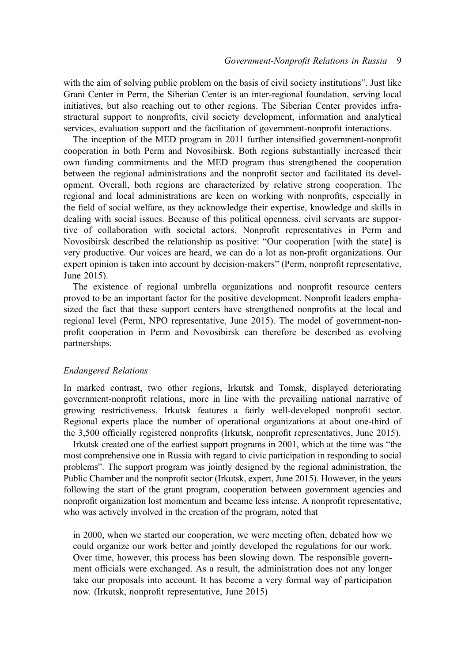with the aim of solving public problem on the basis of civil society institutions". Just like Grani Center in Perm, the Siberian Center is an inter-regional foundation, serving local initiatives, but also reaching out to other regions. The Siberian Center provides infrastructural support to nonprofits, civil society development, information and analytical services, evaluation support and the facilitation of government-nonprofit interactions.

The inception of the MED program in 2011 further intensified government-nonprofit cooperation in both Perm and Novosibirsk. Both regions substantially increased their own funding commitments and the MED program thus strengthened the cooperation between the regional administrations and the nonprofit sector and facilitated its development. Overall, both regions are characterized by relative strong cooperation. The regional and local administrations are keen on working with nonprofits, especially in the field of social welfare, as they acknowledge their expertise, knowledge and skills in dealing with social issues. Because of this political openness, civil servants are supportive of collaboration with societal actors. Nonprofit representatives in Perm and Novosibirsk described the relationship as positive: "Our cooperation [with the state] is very productive. Our voices are heard, we can do a lot as non-profit organizations. Our expert opinion is taken into account by decision-makers" (Perm, nonprofit representative, June 2015).

The existence of regional umbrella organizations and nonprofit resource centers proved to be an important factor for the positive development. Nonprofit leaders emphasized the fact that these support centers have strengthened nonprofits at the local and regional level (Perm, NPO representative, June 2015). The model of government-nonprofit cooperation in Perm and Novosibirsk can therefore be described as evolving partnerships.

## Endangered Relations

In marked contrast, two other regions, Irkutsk and Tomsk, displayed deteriorating government-nonprofit relations, more in line with the prevailing national narrative of growing restrictiveness. Irkutsk features a fairly well-developed nonprofit sector. Regional experts place the number of operational organizations at about one-third of the 3,500 officially registered nonprofits (Irkutsk, nonprofit representatives, June 2015).

Irkutsk created one of the earliest support programs in 2001, which at the time was "the most comprehensive one in Russia with regard to civic participation in responding to social problems". The support program was jointly designed by the regional administration, the Public Chamber and the nonprofit sector (Irkutsk, expert, June 2015). However, in the years following the start of the grant program, cooperation between government agencies and nonprofit organization lost momentum and became less intense. A nonprofit representative, who was actively involved in the creation of the program, noted that

in 2000, when we started our cooperation, we were meeting often, debated how we could organize our work better and jointly developed the regulations for our work. Over time, however, this process has been slowing down. The responsible government officials were exchanged. As a result, the administration does not any longer take our proposals into account. It has become a very formal way of participation now. (Irkutsk, nonprofit representative, June 2015)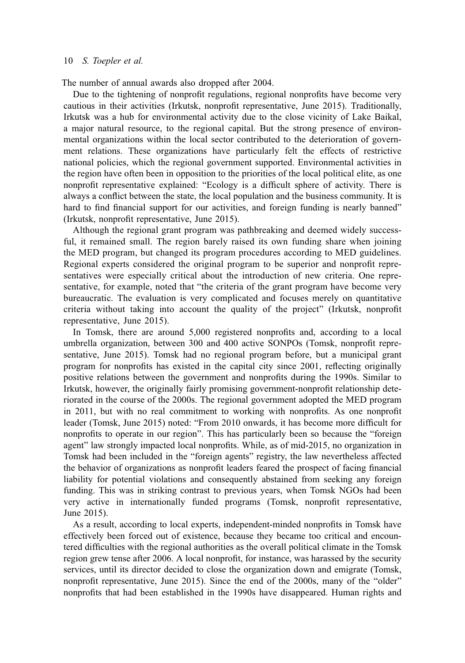The number of annual awards also dropped after 2004.

Due to the tightening of nonprofit regulations, regional nonprofits have become very cautious in their activities (Irkutsk, nonprofit representative, June 2015). Traditionally, Irkutsk was a hub for environmental activity due to the close vicinity of Lake Baikal, a major natural resource, to the regional capital. But the strong presence of environmental organizations within the local sector contributed to the deterioration of government relations. These organizations have particularly felt the effects of restrictive national policies, which the regional government supported. Environmental activities in the region have often been in opposition to the priorities of the local political elite, as one nonprofit representative explained: "Ecology is a difficult sphere of activity. There is always a conflict between the state, the local population and the business community. It is hard to find financial support for our activities, and foreign funding is nearly banned" (Irkutsk, nonprofit representative, June 2015).

Although the regional grant program was pathbreaking and deemed widely successful, it remained small. The region barely raised its own funding share when joining the MED program, but changed its program procedures according to MED guidelines. Regional experts considered the original program to be superior and nonprofit representatives were especially critical about the introduction of new criteria. One representative, for example, noted that "the criteria of the grant program have become very bureaucratic. The evaluation is very complicated and focuses merely on quantitative criteria without taking into account the quality of the project" (Irkutsk, nonprofit representative, June 2015).

In Tomsk, there are around 5,000 registered nonprofits and, according to a local umbrella organization, between 300 and 400 active SONPOs (Tomsk, nonprofit representative, June 2015). Tomsk had no regional program before, but a municipal grant program for nonprofits has existed in the capital city since 2001, reflecting originally positive relations between the government and nonprofits during the 1990s. Similar to Irkutsk, however, the originally fairly promising government-nonprofit relationship deteriorated in the course of the 2000s. The regional government adopted the MED program in 2011, but with no real commitment to working with nonprofits. As one nonprofit leader (Tomsk, June 2015) noted: "From 2010 onwards, it has become more difficult for nonprofits to operate in our region". This has particularly been so because the "foreign agent" law strongly impacted local nonprofits. While, as of mid-2015, no organization in Tomsk had been included in the "foreign agents" registry, the law nevertheless affected the behavior of organizations as nonprofit leaders feared the prospect of facing financial liability for potential violations and consequently abstained from seeking any foreign funding. This was in striking contrast to previous years, when Tomsk NGOs had been very active in internationally funded programs (Tomsk, nonprofit representative, June 2015).

As a result, according to local experts, independent-minded nonprofits in Tomsk have effectively been forced out of existence, because they became too critical and encountered difficulties with the regional authorities as the overall political climate in the Tomsk region grew tense after 2006. A local nonprofit, for instance, was harassed by the security services, until its director decided to close the organization down and emigrate (Tomsk, nonprofit representative, June 2015). Since the end of the 2000s, many of the "older" nonprofits that had been established in the 1990s have disappeared. Human rights and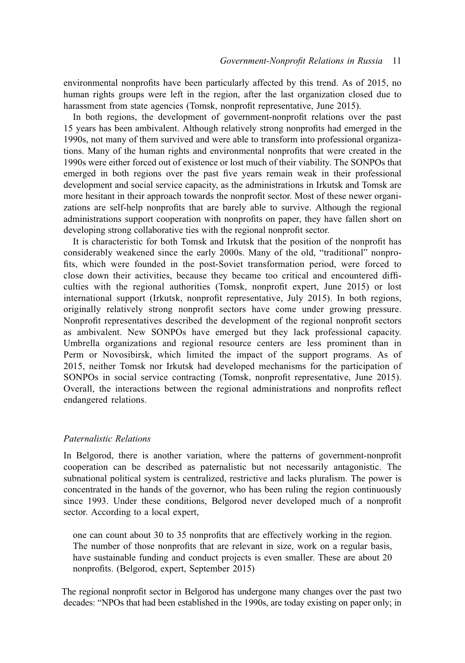environmental nonprofits have been particularly affected by this trend. As of 2015, no human rights groups were left in the region, after the last organization closed due to harassment from state agencies (Tomsk, nonprofit representative, June 2015).

In both regions, the development of government-nonprofit relations over the past 15 years has been ambivalent. Although relatively strong nonprofits had emerged in the 1990s, not many of them survived and were able to transform into professional organizations. Many of the human rights and environmental nonprofits that were created in the 1990s were either forced out of existence or lost much of their viability. The SONPOs that emerged in both regions over the past five years remain weak in their professional development and social service capacity, as the administrations in Irkutsk and Tomsk are more hesitant in their approach towards the nonprofit sector. Most of these newer organizations are self-help nonprofits that are barely able to survive. Although the regional administrations support cooperation with nonprofits on paper, they have fallen short on developing strong collaborative ties with the regional nonprofit sector.

It is characteristic for both Tomsk and Irkutsk that the position of the nonprofit has considerably weakened since the early 2000s. Many of the old, "traditional" nonprofits, which were founded in the post-Soviet transformation period, were forced to close down their activities, because they became too critical and encountered difficulties with the regional authorities (Tomsk, nonprofit expert, June 2015) or lost international support (Irkutsk, nonprofit representative, July 2015). In both regions, originally relatively strong nonprofit sectors have come under growing pressure. Nonprofit representatives described the development of the regional nonprofit sectors as ambivalent. New SONPOs have emerged but they lack professional capacity. Umbrella organizations and regional resource centers are less prominent than in Perm or Novosibirsk, which limited the impact of the support programs. As of 2015, neither Tomsk nor Irkutsk had developed mechanisms for the participation of SONPOs in social service contracting (Tomsk, nonprofit representative, June 2015). Overall, the interactions between the regional administrations and nonprofits reflect endangered relations.

## Paternalistic Relations

In Belgorod, there is another variation, where the patterns of government-nonprofit cooperation can be described as paternalistic but not necessarily antagonistic. The subnational political system is centralized, restrictive and lacks pluralism. The power is concentrated in the hands of the governor, who has been ruling the region continuously since 1993. Under these conditions, Belgorod never developed much of a nonprofit sector. According to a local expert,

one can count about 30 to 35 nonprofits that are effectively working in the region. The number of those nonprofits that are relevant in size, work on a regular basis, have sustainable funding and conduct projects is even smaller. These are about 20 nonprofits. (Belgorod, expert, September 2015)

The regional nonprofit sector in Belgorod has undergone many changes over the past two decades: "NPOs that had been established in the 1990s, аre today existing on paper only; in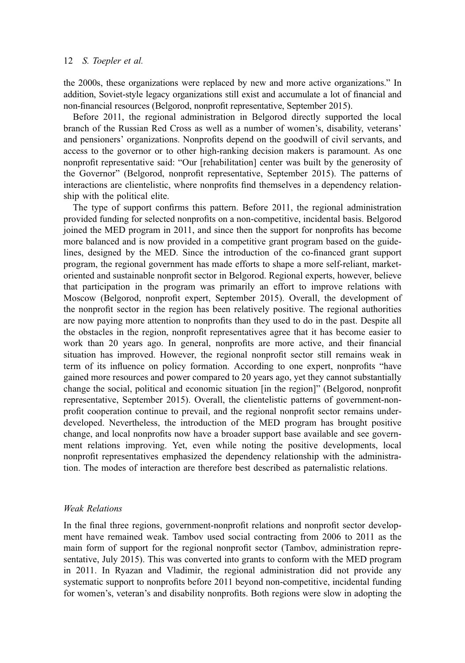the 2000s, these organizations were replaced by new and more active organizations." In addition, Soviet-style legacy organizations still exist and accumulate a lot of financial and non-financial resources (Belgorod, nonprofit representative, September 2015).

Before 2011, the regional administration in Belgorod directly supported the local branch of the Russian Red Cross as well as a number of women's, disability, veterans' and pensioners' organizations. Nonprofits depend on the goodwill of civil servants, and access to the governor or to other high-ranking decision makers is paramount. As one nonprofit representative said: "Our [rehabilitation] center was built by the generosity of the Governor" (Belgorod, nonprofit representative, September 2015). The patterns of interactions are clientelistic, where nonprofits find themselves in a dependency relationship with the political elite.

The type of support confirms this pattern. Before 2011, the regional administration provided funding for selected nonprofits on a non-competitive, incidental basis. Belgorod joined the MED program in 2011, and since then the support for nonprofits has become more balanced and is now provided in a competitive grant program based on the guidelines, designed by the MED. Since the introduction of the co-financed grant support program, the regional government has made efforts to shape a more self-reliant, marketoriented and sustainable nonprofit sector in Belgorod. Regional experts, however, believe that participation in the program was primarily an effort to improve relations with Moscow (Belgorod, nonprofit expert, September 2015). Overall, the development of the nonprofit sector in the region has been relatively positive. The regional authorities are now paying more attention to nonprofits than they used to do in the past. Despite all the obstacles in the region, nonprofit representatives agree that it has become easier to work than 20 years ago. In general, nonprofits are more active, and their financial situation has improved. However, the regional nonprofit sector still remains weak in term of its influence on policy formation. According to one expert, nonprofits "have gained more resources and power compared to 20 years ago, yet they cannot substantially change the social, political and economic situation [in the region]" (Belgorod, nonprofit representative, September 2015). Overall, the clientelistic patterns of government-nonprofit cooperation continue to prevail, and the regional nonprofit sector remains underdeveloped. Nevertheless, the introduction of the MED program has brought positive change, and local nonprofits now have a broader support base available and see government relations improving. Yet, even while noting the positive developments, local nonprofit representatives emphasized the dependency relationship with the administration. The modes of interaction are therefore best described as paternalistic relations.

## Weak Relations

In the final three regions, government-nonprofit relations and nonprofit sector development have remained weak. Tambov used social contracting from 2006 to 2011 as the main form of support for the regional nonprofit sector (Tambov, administration representative, July 2015). This was converted into grants to conform with the MED program in 2011. In Ryazan and Vladimir, the regional administration did not provide any systematic support to nonprofits before 2011 beyond non-competitive, incidental funding for women's, veteran's and disability nonprofits. Both regions were slow in adopting the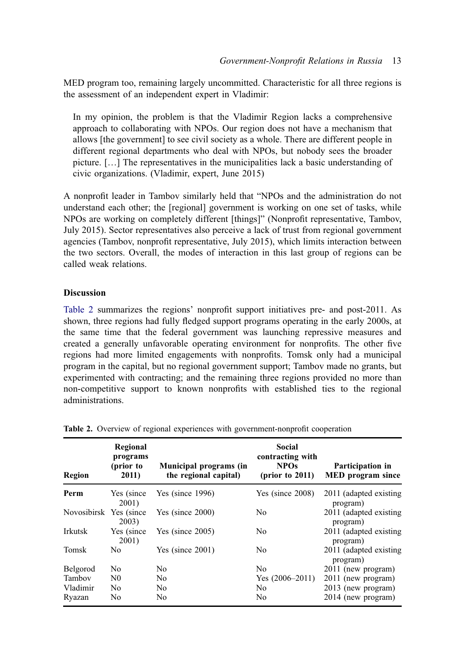MED program too, remaining largely uncommitted. Characteristic for all three regions is the assessment of an independent expert in Vladimir:

In my opinion, the problem is that the Vladimir Region lacks a comprehensive approach to collaborating with NPOs. Our region does not have a mechanism that allows [the government] to see civil society as a whole. There are different people in different regional departments who deal with NPOs, but nobody sees the broader picture. […] The representatives in the municipalities lack a basic understanding of civic organizations. (Vladimir, expert, June 2015)

A nonprofit leader in Tambov similarly held that "NPOs and the administration do not understand each other; the [regional] government is working on one set of tasks, while NPOs are working on completely different [things]" (Nonprofit representative, Tambov, July 2015). Sector representatives also perceive a lack of trust from regional government agencies (Tambov, nonprofit representative, July 2015), which limits interaction between the two sectors. Overall, the modes of interaction in this last group of regions can be called weak relations.

#### Discussion

[Table 2](#page-13-0) summarizes the regions' nonprofit support initiatives pre- and post-2011. As shown, three regions had fully fledged support programs operating in the early 2000s, at the same time that the federal government was launching repressive measures and created a generally unfavorable operating environment for nonprofits. The other five regions had more limited engagements with nonprofits. Tomsk only had a municipal program in the capital, but no regional government support; Tambov made no grants, but experimented with contracting; and the remaining three regions provided no more than non-competitive support to known nonprofits with established ties to the regional administrations.

| Region                  | Regional<br>programs<br>(prior to<br>2011) | Municipal programs (in<br>the regional capital) | Social<br>contracting with<br><b>NPOs</b><br>$(\text{prior to } 2011)$ | Participation in<br><b>MED</b> program since |
|-------------------------|--------------------------------------------|-------------------------------------------------|------------------------------------------------------------------------|----------------------------------------------|
|                         |                                            |                                                 |                                                                        |                                              |
| Perm                    | Yes (since)<br>2001)                       | Yes (since $1996$ )                             | Yes (since $2008$ )                                                    | 2011 (adapted existing<br>program)           |
| Novosibirsk Yes (since) | 2003)                                      | Yes (since $2000$ )                             | N <sub>0</sub>                                                         | 2011 (adapted existing<br>program)           |
| Irkutsk                 | Yes (since<br>2001)                        | Yes (since $2005$ )                             | N <sub>0</sub>                                                         | 2011 (adapted existing<br>program)           |
| <b>Tomsk</b>            | No                                         | Yes (since $2001$ )                             | No                                                                     | 2011 (adapted existing<br>program)           |
| Belgorod                | No                                         | No                                              | N <sub>0</sub>                                                         | 2011 (new program)                           |
| Tamboy                  | $_{\rm N0}$                                | N <sub>0</sub>                                  | Yes $(2006-2011)$                                                      | 2011 (new program)                           |
| Vladimir                | N <sub>0</sub>                             | No                                              | No                                                                     | 2013 (new program)                           |
| Ryazan                  | No                                         | No                                              | N <sub>0</sub>                                                         | 2014 (new program)                           |

<span id="page-13-0"></span>Table 2. Overview of regional experiences with government-nonprofit cooperation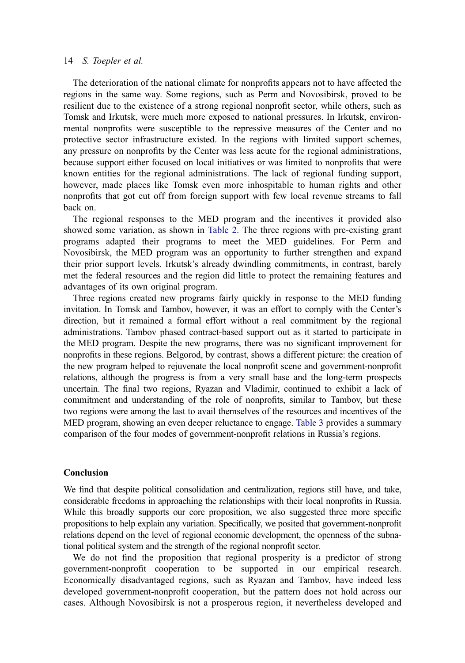The deterioration of the national climate for nonprofits appears not to have affected the regions in the same way. Some regions, such as Perm and Novosibirsk, proved to be resilient due to the existence of a strong regional nonprofit sector, while others, such as Tomsk and Irkutsk, were much more exposed to national pressures. In Irkutsk, environmental nonprofits were susceptible to the repressive measures of the Center and no protective sector infrastructure existed. In the regions with limited support schemes, any pressure on nonprofits by the Center was less acute for the regional administrations, because support either focused on local initiatives or was limited to nonprofits that were known entities for the regional administrations. The lack of regional funding support, however, made places like Tomsk even more inhospitable to human rights and other nonprofits that got cut off from foreign support with few local revenue streams to fall back on.

The regional responses to the MED program and the incentives it provided also showed some variation, as shown in [Table 2](#page-13-0). The three regions with pre-existing grant programs adapted their programs to meet the MED guidelines. For Perm and Novosibirsk, the MED program was an opportunity to further strengthen and expand their prior support levels. Irkutsk's already dwindling commitments, in contrast, barely met the federal resources and the region did little to protect the remaining features and advantages of its own original program.

Three regions created new programs fairly quickly in response to the MED funding invitation. In Tomsk and Tambov, however, it was an effort to comply with the Center's direction, but it remained a formal effort without a real commitment by the regional administrations. Tambov phased contract-based support out as it started to participate in the MED program. Despite the new programs, there was no significant improvement for nonprofits in these regions. Belgorod, by contrast, shows a different picture: the creation of the new program helped to rejuvenate the local nonprofit scene and government-nonprofit relations, although the progress is from a very small base and the long-term prospects uncertain. The final two regions, Ryazan and Vladimir, continued to exhibit a lack of commitment and understanding of the role of nonprofits, similar to Tambov, but these two regions were among the last to avail themselves of the resources and incentives of the MED program, showing an even deeper reluctance to engage. [Table 3](#page-15-0) provides a summary comparison of the four modes of government-nonprofit relations in Russia's regions.

#### Conclusion

We find that despite political consolidation and centralization, regions still have, and take, considerable freedoms in approaching the relationships with their local nonprofits in Russia. While this broadly supports our core proposition, we also suggested three more specific propositions to help explain any variation. Specifically, we posited that government-nonprofit relations depend on the level of regional economic development, the openness of the subnational political system and the strength of the regional nonprofit sector.

We do not find the proposition that regional prosperity is a predictor of strong government-nonprofit cooperation to be supported in our empirical research. Economically disadvantaged regions, such as Ryazan and Tambov, have indeed less developed government-nonprofit cooperation, but the pattern does not hold across our cases. Although Novosibirsk is not a prosperous region, it nevertheless developed and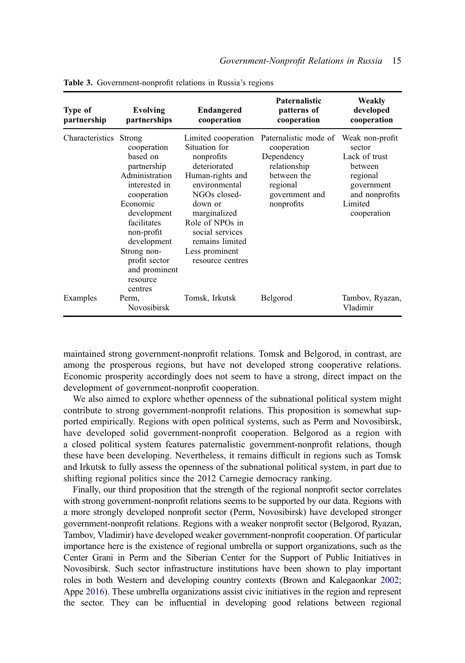| <b>Type of</b><br>partnership | Evolving<br>partnerships                                                                                                                                                                                                                          | <b>Endangered</b><br>cooperation                                                                                                                                                                                                                  | <b>Paternalistic</b><br>patterns of<br>cooperation                                                                            | Weakly<br>developed<br>cooperation                                                                                          |
|-------------------------------|---------------------------------------------------------------------------------------------------------------------------------------------------------------------------------------------------------------------------------------------------|---------------------------------------------------------------------------------------------------------------------------------------------------------------------------------------------------------------------------------------------------|-------------------------------------------------------------------------------------------------------------------------------|-----------------------------------------------------------------------------------------------------------------------------|
| Characteristics               | Strong<br>cooperation<br>based on<br>partnership<br>Administration<br>interested in<br>cooperation<br>Economic<br>development<br>facilitates<br>non-profit<br>development<br>Strong non-<br>profit sector<br>and prominent<br>resource<br>centres | Limited cooperation<br>Situation for<br>nonprofits<br>deteriorated<br>Human-rights and<br>environmental<br>NGOs closed-<br>down or<br>marginalized<br>Role of NPOs in<br>social services<br>remains limited<br>Less prominent<br>resource centres | Paternalistic mode of<br>cooperation<br>Dependency<br>relationship<br>between the<br>regional<br>government and<br>nonprofits | Weak non-profit<br>sector<br>Lack of trust<br>between<br>regional<br>government<br>and nonprofits<br>Limited<br>cooperation |
| Examples                      | Perm,<br>Novosibirsk                                                                                                                                                                                                                              | Tomsk, Irkutsk                                                                                                                                                                                                                                    | Belgorod                                                                                                                      | Tambov, Ryazan,<br>Vladimir                                                                                                 |

<span id="page-15-0"></span>Table 3. Government-nonprofit relations in Russia's regions

maintained strong government-nonprofit relations. Tomsk and Belgorod, in contrast, are among the prosperous regions, but have not developed strong cooperative relations. Economic prosperity accordingly does not seem to have a strong, direct impact on the development of government-nonprofit cooperation.

We also aimed to explore whether openness of the subnational political system might contribute to strong government-nonprofit relations. This proposition is somewhat supported empirically. Regions with open political systems, such as Perm and Novosibirsk, have developed solid government-nonprofit cooperation. Belgorod as a region with a closed political system features paternalistic government-nonprofit relations, though these have been developing. Nevertheless, it remains difficult in regions such as Tomsk and Irkutsk to fully assess the openness of the subnational political system, in part due to shifting regional politics since the 2012 Carnegie democracy ranking.

<span id="page-15-2"></span><span id="page-15-1"></span>Finally, our third proposition that the strength of the regional nonprofit sector correlates with strong government-nonprofit relations seems to be supported by our data. Regions with a more strongly developed nonprofit sector (Perm, Novosibirsk) have developed stronger government-nonprofit relations. Regions with a weaker nonprofit sector (Belgorod, Ryazan, Tambov, Vladimir) have developed weaker government-nonprofit cooperation. Of particular importance here is the existence of regional umbrella or support organizations, such as the Center Grani in Perm and the Siberian Center for the Support of Public Initiatives in Novosibirsk. Such sector infrastructure institutions have been shown to play important roles in both Western and developing country contexts (Brown and Kalegaonkar [2002](#page-17-26); Appe [2016\)](#page-17-27). These umbrella organizations assist civic initiatives in the region and represent the sector. They can be influential in developing good relations between regional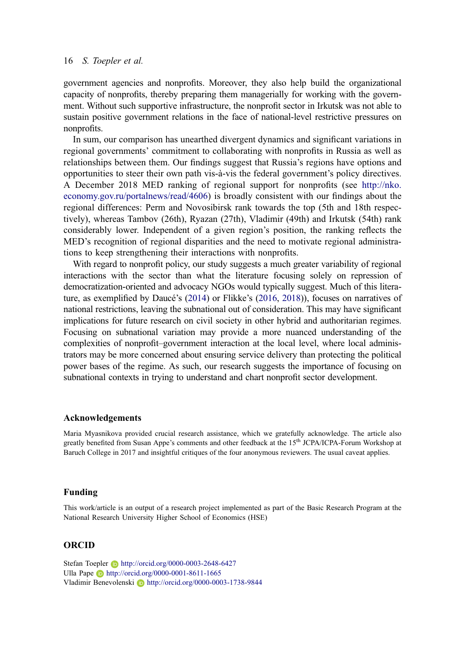government agencies and nonprofits. Moreover, they also help build the organizational capacity of nonprofits, thereby preparing them managerially for working with the government. Without such supportive infrastructure, the nonprofit sector in Irkutsk was not able to sustain positive government relations in the face of national-level restrictive pressures on nonprofits.

In sum, our comparison has unearthed divergent dynamics and significant variations in regional governments' commitment to collaborating with nonprofits in Russia as well as relationships between them. Our findings suggest that Russia's regions have options and opportunities to steer their own path vis-à-vis the federal government's policy directives. A December 2018 MED ranking of regional support for nonprofits (see [http://nko.](http://nko.economy.gov.ru/portalnews/read/4606) [economy.gov.ru/portalnews/read/4606\)](http://nko.economy.gov.ru/portalnews/read/4606) is broadly consistent with our findings about the regional differences: Perm and Novosibirsk rank towards the top (5th and 18th respectively), whereas Tambov (26th), Ryazan (27th), Vladimir (49th) and Irkutsk (54th) rank considerably lower. Independent of a given region's position, the ranking reflects the MED's recognition of regional disparities and the need to motivate regional administrations to keep strengthening their interactions with nonprofits.

With regard to nonprofit policy, our study suggests a much greater variability of regional interactions with the sector than what the literature focusing solely on repression of democratization-oriented and advocacy NGOs would typically suggest. Much of this literature, as exemplified by Daucé's ([2014\)](#page-17-4) or Flikke's [\(2016,](#page-17-5) [2018](#page-17-13))), focuses on narratives of national restrictions, leaving the subnational out of consideration. This may have significant implications for future research on civil society in other hybrid and authoritarian regimes. Focusing on subnational variation may provide a more nuanced understanding of the complexities of nonprofit–government interaction at the local level, where local administrators may be more concerned about ensuring service delivery than protecting the political power bases of the regime. As such, our research suggests the importance of focusing on subnational contexts in trying to understand and chart nonprofit sector development.

#### Acknowledgements

Maria Myasnikova provided crucial research assistance, which we gratefully acknowledge. The article also greatly benefited from Susan Appe's comments and other feedback at the 15<sup>th</sup> JCPA/ICPA-Forum Workshop at Baruch College in 2017 and insightful critiques of the four anonymous reviewers. The usual caveat applies.

#### Funding

This work/article is an output of a research project implemented as part of the Basic Research Program at the National Research University Higher School of Economics (HSE)

#### ORCID

Stefan Toepler **b** http://orcid.org/0000-0003-2648-6427 Ulla Pape **b** http://orcid.org/0000-0001-8611-1665 Vladimir Benevolenski D http://orcid.org/0000-0003-1738-9844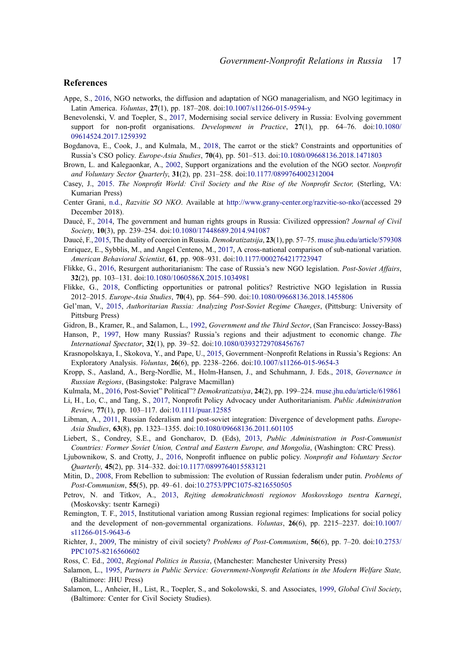#### References

- <span id="page-17-27"></span>Appe, S., [2016](#page-15-1), NGO networks, the diffusion and adaptation of NGO managerialism, and NGO legitimacy in Latin America. Voluntas, 27(1), pp. 187–208. doi:[10.1007/s11266-015-9594-y](https://doi.org/10.1007/s11266-015-9594-y)
- <span id="page-17-15"></span>Benevolenski, V. and Toepler, S., [2017,](#page-5-0) Modernising social service delivery in Russia: Evolving government support for non-profit organisations. *Development in Practice*, 27(1), pp. 64–76. doi:[10.1080/](https://doi.org/10.1080/09614524.2017.1259392) [09614524.2017.1259392](https://doi.org/10.1080/09614524.2017.1259392)
- <span id="page-17-12"></span>Bogdanova, E., Cook, J., and Kulmala, M., [2018](#page-3-0), The carrot or the stick? Constraints and opportunities of Russia's CSO policy. Europe-Asia Studies, 70(4), pp. 501–513. doi:[10.1080/09668136.2018.1471803](https://doi.org/10.1080/09668136.2018.1471803)
- <span id="page-17-26"></span>Brown, L. and Kalegaonkar, A., [2002,](#page-15-2) Support organizations and the evolution of the NGO sector. Nonprofit and Voluntary Sector Quarterly, 31(2), pp. 231–258. doi:[10.1177/0899764002312004](https://doi.org/10.1177/0899764002312004)
- <span id="page-17-1"></span>Casey, J., [2015.](#page-1-1) The Nonprofit World: Civil Society and the Rise of the Nonprofit Sector, (Sterling, VA: Kumarian Press)
- <span id="page-17-25"></span>Center Grani, [n.d.,](#page-8-0) Razvitie SO NKO. Available at <http://www.grany-center.org/razvitie-so-nko/>(accessed 29 December 2018).
- <span id="page-17-4"></span>Daucé, F., [2014](#page-2-0), The government and human rights groups in Russia: Civilized oppression? Journal of Civil Society, 10(3), pp. 239–254. doi:[10.1080/17448689.2014.941087](https://doi.org/10.1080/17448689.2014.941087)
- <span id="page-17-11"></span>Daucé, F., [2015,](#page-3-1) The duality of coercion in Russia. *Demokratizatsija*, 23(1), pp. 57–75. [muse.jhu.edu/article/579308](http://muse.jhu.edu/article/579308)
- <span id="page-17-3"></span>Enriquez, E., Sybblis, M., and Angel Centeno, M., [2017](#page-2-1), A cross-national comparison of sub-national variation. American Behavioral Scientist, 61, pp. 908–931. doi:[10.1177/0002764217723947](https://doi.org/10.1177/0002764217723947)
- <span id="page-17-5"></span>Flikke, G., [2016](#page-2-0), Resurgent authoritarianism: The case of Russia's new NGO legislation. Post-Soviet Affairs, 32(2), pp. 103–131. doi:[10.1080/1060586X.2015.1034981](https://doi.org/10.1080/1060586X.2015.1034981)
- <span id="page-17-13"></span>Flikke, G., [2018](#page-3-0), Conflicting opportunities or patronal politics? Restrictive NGO legislation in Russia 2012–2015. Europe-Asia Studies, 70(4), pp. 564–590. doi:[10.1080/09668136.2018.1455806](https://doi.org/10.1080/09668136.2018.1455806)
- <span id="page-17-8"></span>Gel'man, V., [2015](#page-3-2), Authoritarian Russia: Analyzing Post-Soviet Regime Changes, (Pittsburg: University of Pittsburg Press)
- <span id="page-17-2"></span>Gidron, B., Kramer, R., and Salamon, L., [1992,](#page-2-2) Government and the Third Sector, (San Francisco: Jossey-Bass)
- <span id="page-17-6"></span>Hanson, P., [1997](#page-3-3), How many Russias? Russia's regions and their adjustment to economic change. The International Spectator, 32(1), pp. 39–52. doi:[10.1080/03932729708456767](https://doi.org/10.1080/03932729708456767)
- <span id="page-17-16"></span>Krasnopolskaya, I., Skokova, Y., and Pape, U., [2015,](#page-5-1) Government–Nonprofit Relations in Russia's Regions: An Exploratory Analysis. Voluntas, 26(6), pp. 2238–2266. doi:[10.1007/s11266-015-9654-3](https://doi.org/10.1007/s11266-015-9654-3)
- <span id="page-17-17"></span>Kropp, S., Aasland, A., Berg-Nordlie, M., Holm-Hansen, J., and Schuhmann, J. Eds., [2018](#page-6-0), Governance in Russian Regions, (Basingstoke: Palgrave Macmillan)
- <span id="page-17-23"></span>Kulmala, M., [2016,](#page-7-0) Post-Soviet" Political"? Demokratizatsiya, 24(2), pp. 199-224. [muse.jhu.edu/article/619861](http://muse.jhu.edu/article/619861)
- <span id="page-17-21"></span>Li, H., Lo, C., and Tang, S., [2017](#page-6-1), Nonprofit Policy Advocacy under Authoritarianism. Public Administration Review, 77(1), pp. 103–117. doi:[10.1111/puar.12585](https://doi.org/10.1111/puar.12585)
- <span id="page-17-10"></span>Libman, A., [2011](#page-3-4), Russian federalism and post-soviet integration: Divergence of development paths. *Europe*-Asia Studies, 63(8), pp. 1323–1355. doi:[10.1080/09668136.2011.601105](https://doi.org/10.1080/09668136.2011.601105)
- <span id="page-17-19"></span>Liebert, S., Condrey, S.E., and Goncharov, D. (Eds), [2013](#page-6-2), Public Administration in Post-Communist Countries: Former Soviet Union, Central and Eastern Europe, and Mongolia, (Washington: CRC Press).
- <span id="page-17-20"></span>Ljubownikow, S. and Crotty, J., [2016](#page-6-1), Nonprofit influence on public policy. Nonprofit and Voluntary Sector Quarterly, 45(2), pp. 314–332. doi:[10.1177/0899764015583121](https://doi.org/10.1177/0899764015583121)
- <span id="page-17-9"></span>Mitin, D., [2008,](#page-3-5) From Rebellion to submission: The evolution of Russian federalism under putin. Problems of Post-Communism, 55(5), pp. 49–61. doi:[10.2753/PPC1075-8216550505](https://doi.org/10.2753/PPC1075-8216550505)
- <span id="page-17-24"></span>Petrov, N. and Titkov, A., [2013](#page-7-1), Rejting demokratichnosti regionov Moskovskogo tsentra Karnegi, (Moskovsky: tsentr Karnegi)
- <span id="page-17-18"></span>Remington, T. F., [2015,](#page-6-3) Institutional variation among Russian regional regimes: Implications for social policy and the development of non-governmental organizations. *Voluntas*, 26(6), pp. 2215–2237. doi:[10.1007/](https://doi.org/10.1007/s11266-015-9643-6) [s11266-015-9643-6](https://doi.org/10.1007/s11266-015-9643-6)
- <span id="page-17-14"></span>Richter, J., [2009](#page-5-2), The ministry of civil society? Problems of Post-Communism, 56(6), pp. 7–20. doi:[10.2753/](https://doi.org/10.2753/PPC1075-8216560602) [PPC1075-8216560602](https://doi.org/10.2753/PPC1075-8216560602)

<span id="page-17-7"></span>Ross, C. Ed., [2002](#page-3-3), Regional Politics in Russia, (Manchester: Manchester University Press)

- <span id="page-17-22"></span>Salamon, L., [1995,](#page-6-4) Partners in Public Service: Government-Nonprofit Relations in the Modern Welfare State, (Baltimore: JHU Press)
- <span id="page-17-0"></span>Salamon, L., Anheier, H., List, R., Toepler, S., and Sokolowski, S. and Associates, [1999,](#page-1-1) *Global Civil Society*, (Baltimore: Center for Civil Society Studies).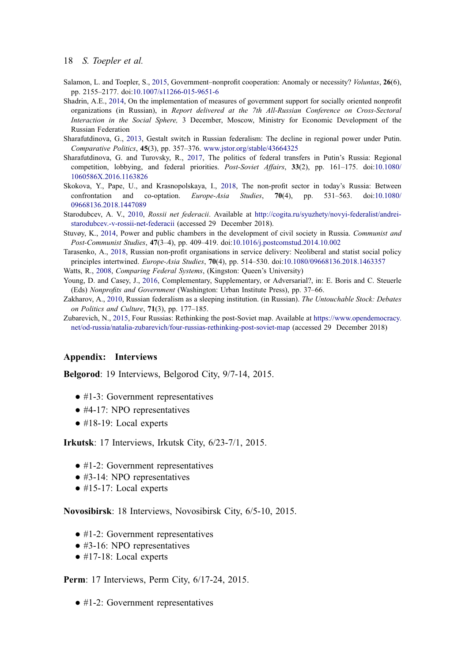- <span id="page-18-0"></span>Salamon, L. and Toepler, S., [2015](#page-2-3), Government–nonprofit cooperation: Anomaly or necessity? *Voluntas*, 26(6), pp. 2155–2177. doi:[10.1007/s11266-015-9651-6](https://doi.org/10.1007/s11266-015-9651-6)
- <span id="page-18-7"></span>Shadrin, A.E., [2014,](#page-5-3) On the implementation of measures of government support for socially oriented nonprofit organizations (in Russian), in Report delivered at the 7th All-Russian Conference on Cross-Sectoral Interaction in the Social Sphere, 3 December, Moscow, Ministry for Economic Development of the Russian Federation
- <span id="page-18-5"></span>Sharafutdinova, G., [2013](#page-3-4), Gestalt switch in Russian federalism: The decline in regional power under Putin. Comparative Politics, 45(3), pp. 357–376. [www.jstor.org/stable/43664325](http://www.jstor.org/stable/43664325)
- <span id="page-18-10"></span>Sharafutdinova, G. and Turovsky, R., [2017,](#page-6-5) The politics of federal transfers in Putin's Russia: Regional competition, lobbying, and federal priorities. Post-Soviet Affairs, 33(2), pp. 161–175. doi:[10.1080/](https://doi.org/10.1080/1060586X.2016.1163826) [1060586X.2016.1163826](https://doi.org/10.1080/1060586X.2016.1163826)
- <span id="page-18-3"></span>Skokova, Y., Pape, U., and Krasnopolskaya, I., [2018](#page-3-0), The non-profit sector in today's Russia: Between confrontation and co-optation. Europe-Asia Studies, 70(4), pp. 531–563. doi:[10.1080/](https://doi.org/10.1080/09668136.2018.1447089) [09668136.2018.1447089](https://doi.org/10.1080/09668136.2018.1447089)
- <span id="page-18-9"></span>Starodubcev, A. V., [2010,](#page-6-0) Rossii net federacii. Available at [http://cogita.ru/syuzhety/novyi-federalist/andrei](http://cogita.ru/syuzhety/novyi-federalist/andrei-starodubcev.-v-rossii-net-federacii)[starodubcev.-v-rossii-net-federacii](http://cogita.ru/syuzhety/novyi-federalist/andrei-starodubcev.-v-rossii-net-federacii) (accessed 29 December 2018).
- <span id="page-18-6"></span>Stuvøy, K., [2014](#page-5-2), Power and public chambers in the development of civil society in Russia. Communist and Post-Communist Studies, 47(3–4), pp. 409–419. doi:[10.1016/j.postcomstud.2014.10.002](https://doi.org/10.1016/j.postcomstud.2014.10.002)
- <span id="page-18-8"></span>Tarasenko, A., [2018,](#page-5-1) Russian non-profit organisations in service delivery: Neoliberal and statist social policy principles intertwined. Europe-Asia Studies, 70(4), pp. 514–530. doi:[10.1080/09668136.2018.1463357](https://doi.org/10.1080/09668136.2018.1463357)
- <span id="page-18-4"></span><span id="page-18-1"></span>Watts, R., [2008](#page-3-6), Comparing Federal Systems, (Kingston: Queen's University)
- Young, D. and Casey, J., [2016](#page-2-4), Complementary, Supplementary, or Adversarial?, in: E. Boris and C. Steuerle (Eds) Nonprofits and Government (Washington: Urban Institute Press), pp. 37–66.
- <span id="page-18-2"></span>Zakharov, A., [2010,](#page-2-5) Russian federalism as a sleeping institution. (in Russian). The Untouchable Stock: Debates on Politics and Culture, 71(3), pp. 177–185.
- <span id="page-18-11"></span>Zubarevich, N., [2015,](#page-6-6) Four Russias: Rethinking the post-Soviet map. Available at [https://www.opendemocracy.](https://www.opendemocracy.net/od-russia/natalia-zubarevich/four-russias-rethinking-post-soviet-map) [net/od-russia/natalia-zubarevich/four-russias-rethinking-post-soviet-map](https://www.opendemocracy.net/od-russia/natalia-zubarevich/four-russias-rethinking-post-soviet-map) (accessed 29 December 2018)

#### Appendix: Interviews

Belgorod: 19 Interviews, Belgorod City, 9/7-14, 2015.

- #1-3: Government representatives
- #4-17: NPO representatives
- #18-19: Local experts

Irkutsk: 17 Interviews, Irkutsk City, 6/23-7/1, 2015.

- #1-2: Government representatives
- #3-14: NPO representatives
- #15-17: Local experts

Novosibirsk: 18 Interviews, Novosibirsk City, 6/5-10, 2015.

- #1-2: Government representatives
- #3-16: NPO representatives
- #17-18: Local experts

Perm: 17 Interviews, Perm City, 6/17-24, 2015.

● #1-2: Government representatives